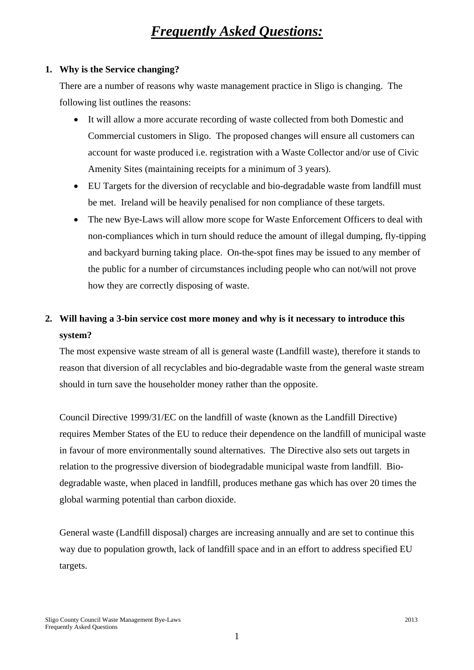# *Frequently Asked Questions:*

#### **1. Why is the Service changing?**

There are a number of reasons why waste management practice in Sligo is changing. The following list outlines the reasons:

- It will allow a more accurate recording of waste collected from both Domestic and Commercial customers in Sligo. The proposed changes will ensure all customers can account for waste produced i.e. registration with a Waste Collector and/or use of Civic Amenity Sites (maintaining receipts for a minimum of 3 years).
- EU Targets for the diversion of recyclable and bio-degradable waste from landfill must be met. Ireland will be heavily penalised for non compliance of these targets.
- The new Bye-Laws will allow more scope for Waste Enforcement Officers to deal with non-compliances which in turn should reduce the amount of illegal dumping, fly-tipping and backyard burning taking place. On-the-spot fines may be issued to any member of the public for a number of circumstances including people who can not/will not prove how they are correctly disposing of waste.

## **2. Will having a 3-bin service cost more money and why is it necessary to introduce this system?**

The most expensive waste stream of all is general waste (Landfill waste), therefore it stands to reason that diversion of all recyclables and bio-degradable waste from the general waste stream should in turn save the householder money rather than the opposite.

Council Directive 1999/31/EC on the landfill of waste (known as the Landfill Directive) requires Member States of the EU to reduce their dependence on the landfill of municipal waste in favour of more environmentally sound alternatives. The Directive also sets out targets in relation to the progressive diversion of biodegradable municipal waste from landfill. Biodegradable waste, when placed in landfill, produces methane gas which has over 20 times the global warming potential than carbon dioxide.

General waste (Landfill disposal) charges are increasing annually and are set to continue this way due to population growth, lack of landfill space and in an effort to address specified EU targets.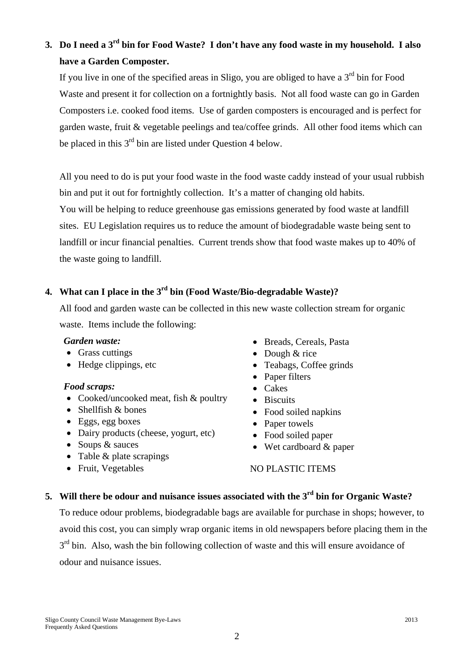## **3. Do I need a 3rd bin for Food Waste? I don't have any food waste in my household. I also have a Garden Composter.**

If you live in one of the specified areas in Sligo, you are obliged to have a  $3<sup>rd</sup>$  bin for Food Waste and present it for collection on a fortnightly basis. Not all food waste can go in Garden Composters i.e. cooked food items. Use of garden composters is encouraged and is perfect for garden waste, fruit & vegetable peelings and tea/coffee grinds. All other food items which can be placed in this  $3<sup>rd</sup>$  bin are listed under Ouestion 4 below.

All you need to do is put your food waste in the food waste caddy instead of your usual rubbish bin and put it out for fortnightly collection. It's a matter of changing old habits. You will be helping to reduce greenhouse gas emissions generated by food waste at landfill sites. EU Legislation requires us to reduce the amount of biodegradable waste being sent to landfill or incur financial penalties. Current trends show that food waste makes up to 40% of the waste going to landfill.

### **4. What can I place in the 3rd bin (Food Waste/Bio-degradable Waste)?**

All food and garden waste can be collected in this new waste collection stream for organic waste. Items include the following:

#### *Garden waste:*

- Grass cuttings
- Hedge clippings, etc

### *Food scraps:*

- Cooked/uncooked meat, fish & poultry
- Shellfish & bones
- Eggs, egg boxes
- Dairy products (cheese, yogurt, etc)
- Soups & sauces
- Table & plate scrapings
- Fruit, Vegetables
- Breads, Cereals, Pasta
- Dough & rice
- Teabags, Coffee grinds
- Paper filters
- Cakes
- Biscuits
- Food soiled napkins
- Paper towels
- Food soiled paper
- Wet cardboard & paper

### NO PLASTIC ITEMS

### **5. Will there be odour and nuisance issues associated with the 3rd bin for Organic Waste?**

To reduce odour problems, biodegradable bags are available for purchase in shops; however, to avoid this cost, you can simply wrap organic items in old newspapers before placing them in the  $3<sup>rd</sup>$  bin. Also, wash the bin following collection of waste and this will ensure avoidance of odour and nuisance issues.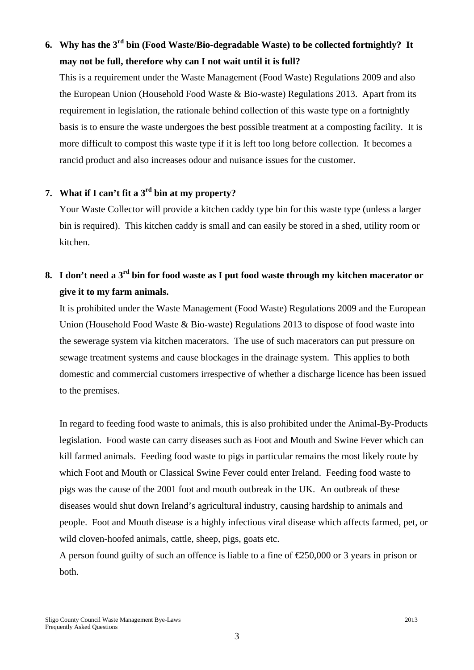## **6. Why has the 3rd bin (Food Waste/Bio-degradable Waste) to be collected fortnightly? It may not be full, therefore why can I not wait until it is full?**

This is a requirement under the Waste Management (Food Waste) Regulations 2009 and also the European Union (Household Food Waste & Bio-waste) Regulations 2013. Apart from its requirement in legislation, the rationale behind collection of this waste type on a fortnightly basis is to ensure the waste undergoes the best possible treatment at a composting facility. It is more difficult to compost this waste type if it is left too long before collection. It becomes a rancid product and also increases odour and nuisance issues for the customer.

### **7. What if I can't fit a 3rd bin at my property?**

Your Waste Collector will provide a kitchen caddy type bin for this waste type (unless a larger bin is required). This kitchen caddy is small and can easily be stored in a shed, utility room or kitchen.

## **8. I don't need a 3rd bin for food waste as I put food waste through my kitchen macerator or give it to my farm animals.**

It is prohibited under the Waste Management (Food Waste) Regulations 2009 and the European Union (Household Food Waste & Bio-waste) Regulations 2013 to dispose of food waste into the sewerage system via kitchen macerators. The use of such macerators can put pressure on sewage treatment systems and cause blockages in the drainage system. This applies to both domestic and commercial customers irrespective of whether a discharge licence has been issued to the premises.

In regard to feeding food waste to animals, this is also prohibited under the Animal-By-Products legislation. Food waste can carry diseases such as Foot and Mouth and Swine Fever which can kill farmed animals. Feeding food waste to pigs in particular remains the most likely route by which Foot and Mouth or Classical Swine Fever could enter Ireland. Feeding food waste to pigs was the cause of the 2001 foot and mouth outbreak in the UK. An outbreak of these diseases would shut down Ireland's agricultural industry, causing hardship to animals and people. Foot and Mouth disease is a highly infectious viral disease which affects farmed, pet, or wild cloven-hoofed animals, cattle, sheep, pigs, goats etc.

A person found guilty of such an offence is liable to a fine of  $\text{\textsterling}50,000$  or 3 years in prison or both.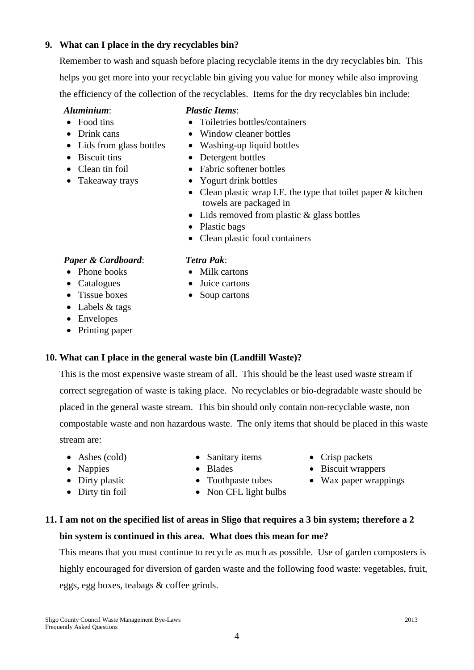### **9. What can I place in the dry recyclables bin?**

Remember to wash and squash before placing recyclable items in the dry recyclables bin. This helps you get more into your recyclable bin giving you value for money while also improving the efficiency of the collection of the recyclables. Items for the dry recyclables bin include:

### *Aluminium*:

- Food tins
- Drink cans
- Lids from glass bottles
- Biscuit tins
- Clean tin foil
- Takeaway trays

### *Plastic Items*:

- Toiletries bottles/containers
- Window cleaner bottles
- Washing-up liquid bottles
- Detergent bottles
- Fabric softener bottles
- Yogurt drink bottles
- Clean plastic wrap I.E. the type that toilet paper & kitchen towels are packaged in
- Lids removed from plastic & glass bottles
- Plastic bags

• Milk cartons • Juice cartons • Soup cartons

*Tetra Pak*:

• Clean plastic food containers

### *Paper & Cardboard*:

- Phone books
- Catalogues
- Tissue boxes
- Labels & tags
- Envelopes
- Printing paper

### **10. What can I place in the general waste bin (Landfill Waste)?**

This is the most expensive waste stream of all. This should be the least used waste stream if correct segregation of waste is taking place. No recyclables or bio-degradable waste should be placed in the general waste stream. This bin should only contain non-recyclable waste, non compostable waste and non hazardous waste. The only items that should be placed in this waste stream are:

- Ashes (cold)
- Sanitary items • Blades
- Nappies • Dirty plastic
- Dirty tin foil
- Toothpaste tubes
- Non CFL light bulbs
- Crisp packets
- Biscuit wrappers
- Wax paper wrappings

## **11. I am not on the specified list of areas in Sligo that requires a 3 bin system; therefore a 2 bin system is continued in this area. What does this mean for me?**

This means that you must continue to recycle as much as possible. Use of garden composters is highly encouraged for diversion of garden waste and the following food waste: vegetables, fruit, eggs, egg boxes, teabags & coffee grinds.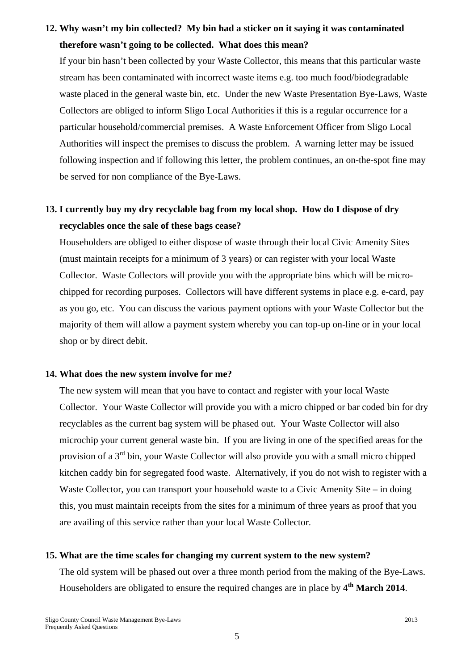## **12. Why wasn't my bin collected? My bin had a sticker on it saying it was contaminated therefore wasn't going to be collected. What does this mean?**

If your bin hasn't been collected by your Waste Collector, this means that this particular waste stream has been contaminated with incorrect waste items e.g. too much food/biodegradable waste placed in the general waste bin, etc. Under the new Waste Presentation Bye-Laws, Waste Collectors are obliged to inform Sligo Local Authorities if this is a regular occurrence for a particular household/commercial premises. A Waste Enforcement Officer from Sligo Local Authorities will inspect the premises to discuss the problem. A warning letter may be issued following inspection and if following this letter, the problem continues, an on-the-spot fine may be served for non compliance of the Bye-Laws.

## **13. I currently buy my dry recyclable bag from my local shop. How do I dispose of dry recyclables once the sale of these bags cease?**

Householders are obliged to either dispose of waste through their local Civic Amenity Sites (must maintain receipts for a minimum of 3 years) or can register with your local Waste Collector. Waste Collectors will provide you with the appropriate bins which will be microchipped for recording purposes. Collectors will have different systems in place e.g. e-card, pay as you go, etc. You can discuss the various payment options with your Waste Collector but the majority of them will allow a payment system whereby you can top-up on-line or in your local shop or by direct debit.

#### **14. What does the new system involve for me?**

The new system will mean that you have to contact and register with your local Waste Collector. Your Waste Collector will provide you with a micro chipped or bar coded bin for dry recyclables as the current bag system will be phased out. Your Waste Collector will also microchip your current general waste bin. If you are living in one of the specified areas for the provision of a 3<sup>rd</sup> bin, your Waste Collector will also provide you with a small micro chipped kitchen caddy bin for segregated food waste. Alternatively, if you do not wish to register with a Waste Collector, you can transport your household waste to a Civic Amenity Site – in doing this, you must maintain receipts from the sites for a minimum of three years as proof that you are availing of this service rather than your local Waste Collector.

#### **15. What are the time scales for changing my current system to the new system?**

The old system will be phased out over a three month period from the making of the Bye-Laws. Householders are obligated to ensure the required changes are in place by **4th March 2014**.